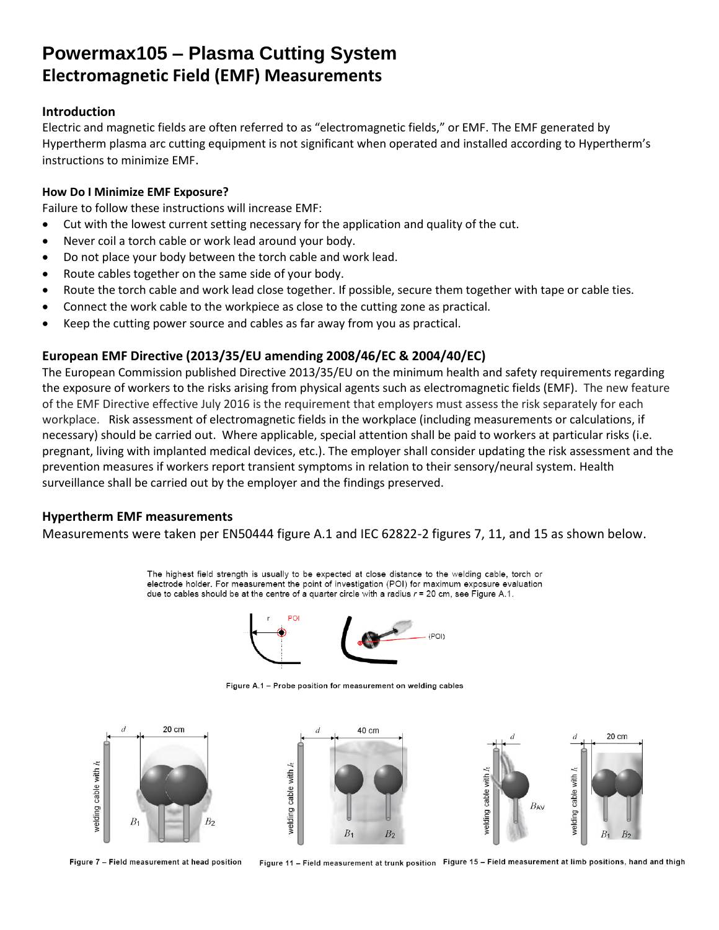## **Powermax105 – Plasma Cutting System Electromagnetic Field (EMF) Measurements**

### **Introduction**

Electric and magnetic fields are often referred to as "electromagnetic fields," or EMF. The EMF generated by Hypertherm plasma arc cutting equipment is not significant when operated and installed according to Hypertherm's instructions to minimize EMF.

#### **How Do I Minimize EMF Exposure?**

Failure to follow these instructions will increase EMF:

- Cut with the lowest current setting necessary for the application and quality of the cut.
- Never coil a torch cable or work lead around your body.
- Do not place your body between the torch cable and work lead.
- Route cables together on the same side of your body.
- Route the torch cable and work lead close together. If possible, secure them together with tape or cable ties.
- Connect the work cable to the workpiece as close to the cutting zone as practical.
- Keep the cutting power source and cables as far away from you as practical.

## **European EMF Directive (2013/35/EU amending 2008/46/EC & 2004/40/EC)**

The European Commission published Directive 2013/35/EU on the minimum health and safety requirements regarding the exposure of workers to the risks arising from physical agents such as electromagnetic fields (EMF). The new feature of the EMF Directive effective July 2016 is the requirement that employers must assess the risk separately for each workplace. Risk assessment of electromagnetic fields in the workplace (including measurements or calculations, if necessary) should be carried out. Where applicable, special attention shall be paid to workers at particular risks (i.e. pregnant, living with implanted medical devices, etc.). The employer shall consider updating the risk assessment and the prevention measures if workers report transient symptoms in relation to their sensory/neural system. Health surveillance shall be carried out by the employer and the findings preserved.

## **Hypertherm EMF measurements**

Measurements were taken per EN50444 figure A.1 and IEC 62822-2 figures 7, 11, and 15 as shown below.

The highest field strength is usually to be expected at close distance to the welding cable, torch or electrode holder. For measurement the point of investigation (POI) for maximum exposure evaluation due to cables should be at the centre of a quarter circle with a radius  $r = 20$  cm, see Figure A.1.



Figure A.1 - Probe position for measurement on welding cables



Figure 7 - Field measurement at head position

Figure 11 - Field measurement at trunk position Figure 15 - Field measurement at limb positions, hand and thigh